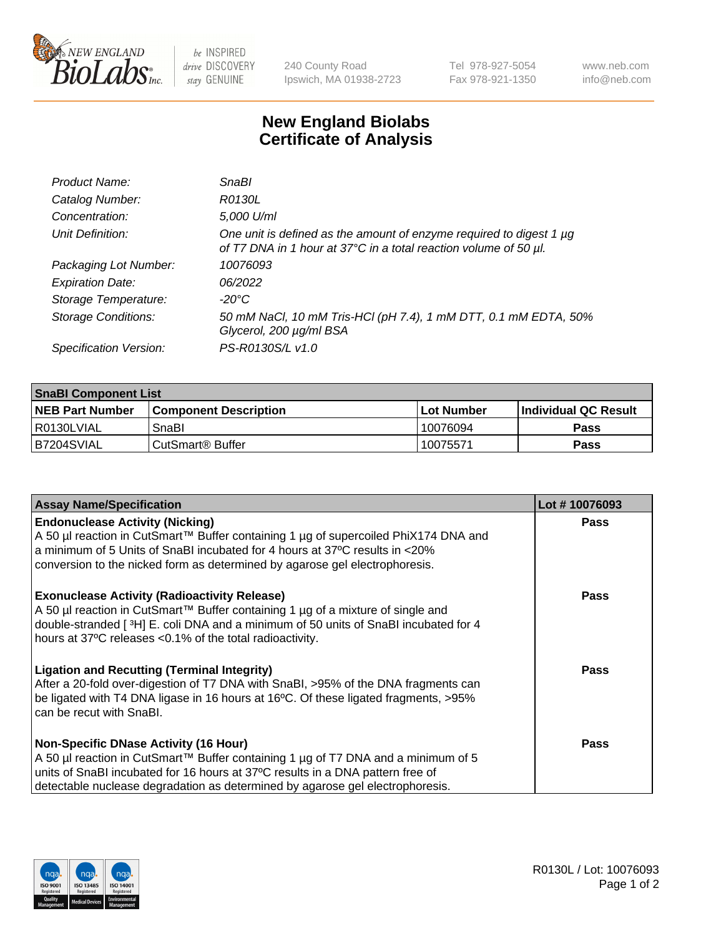

 $be$  INSPIRED drive DISCOVERY stay GENUINE

240 County Road Ipswich, MA 01938-2723 Tel 978-927-5054 Fax 978-921-1350 www.neb.com info@neb.com

## **New England Biolabs Certificate of Analysis**

| Product Name:              | SnaBl                                                                                                                                   |
|----------------------------|-----------------------------------------------------------------------------------------------------------------------------------------|
| Catalog Number:            | R0130L                                                                                                                                  |
| Concentration:             | 5,000 U/ml                                                                                                                              |
| Unit Definition:           | One unit is defined as the amount of enzyme required to digest 1 µg<br>of T7 DNA in 1 hour at 37°C in a total reaction volume of 50 µl. |
| Packaging Lot Number:      | 10076093                                                                                                                                |
| <b>Expiration Date:</b>    | 06/2022                                                                                                                                 |
| Storage Temperature:       | $-20^{\circ}$ C                                                                                                                         |
| <b>Storage Conditions:</b> | 50 mM NaCl, 10 mM Tris-HCl (pH 7.4), 1 mM DTT, 0.1 mM EDTA, 50%<br>Glycerol, 200 µg/ml BSA                                              |
| Specification Version:     | PS-R0130S/L v1.0                                                                                                                        |

| <b>SnaBI Component List</b> |                         |             |                             |  |
|-----------------------------|-------------------------|-------------|-----------------------------|--|
| <b>NEB Part Number</b>      | l Component Description | ⊺Lot Number | <b>Individual QC Result</b> |  |
| I R0130LVIAL                | SnaBl                   | 10076094    | Pass                        |  |
| B7204SVIAL                  | l CutSmart® Buffer      | 10075571    | Pass                        |  |

| <b>Assay Name/Specification</b>                                                                                                                                                                                                                                                                      | Lot #10076093 |
|------------------------------------------------------------------------------------------------------------------------------------------------------------------------------------------------------------------------------------------------------------------------------------------------------|---------------|
| <b>Endonuclease Activity (Nicking)</b><br>A 50 µl reaction in CutSmart™ Buffer containing 1 µg of supercoiled PhiX174 DNA and<br>a minimum of 5 Units of SnaBI incubated for 4 hours at 37°C results in <20%<br>conversion to the nicked form as determined by agarose gel electrophoresis.          | <b>Pass</b>   |
| <b>Exonuclease Activity (Radioactivity Release)</b><br>A 50 µl reaction in CutSmart™ Buffer containing 1 µg of a mixture of single and<br>double-stranded [3H] E. coli DNA and a minimum of 50 units of SnaBI incubated for 4<br>hours at 37°C releases <0.1% of the total radioactivity.            | <b>Pass</b>   |
| <b>Ligation and Recutting (Terminal Integrity)</b><br>After a 20-fold over-digestion of T7 DNA with SnaBI, >95% of the DNA fragments can<br>be ligated with T4 DNA ligase in 16 hours at 16°C. Of these ligated fragments, >95%<br>can be recut with SnaBI.                                          | Pass          |
| <b>Non-Specific DNase Activity (16 Hour)</b><br>A 50 µl reaction in CutSmart™ Buffer containing 1 µg of T7 DNA and a minimum of 5<br>units of SnaBI incubated for 16 hours at 37°C results in a DNA pattern free of<br>detectable nuclease degradation as determined by agarose gel electrophoresis. | Pass          |